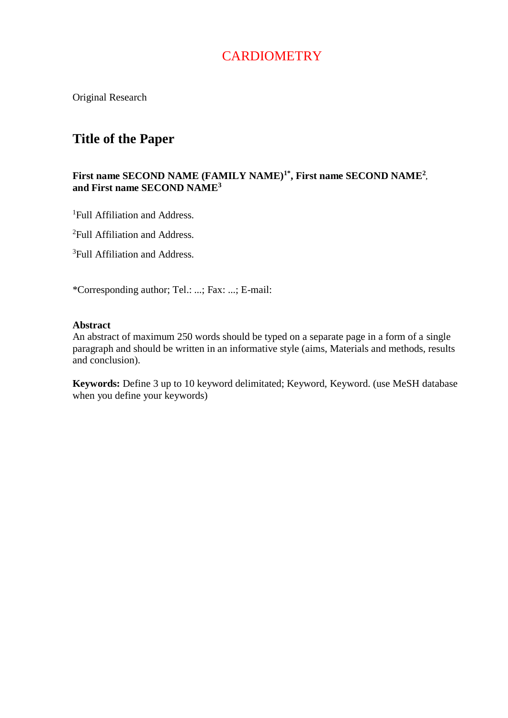# **CARDIOMETRY**

Original Research

## **Title of the Paper**

## **First name SECOND NAME (FAMILY NAME)1\*, First name SECOND NAME<sup>2</sup> , and First name SECOND NAME<sup>3</sup>**

<sup>1</sup>Full Affiliation and Address.

<sup>2</sup>Full Affiliation and Address.

<sup>3</sup>Full Affiliation and Address.

\*Corresponding author; Tel.: ...; Fax: ...; E-mail:

## **Abstract**

An abstract of maximum 250 words should be typed on a separate page in a form of a single paragraph and should be written in an informative style (aims, Materials and methods, results and conclusion).

**Keywords:** Define 3 up to 10 keyword delimitated; Keyword, Keyword. (use MeSH database when you define your keywords)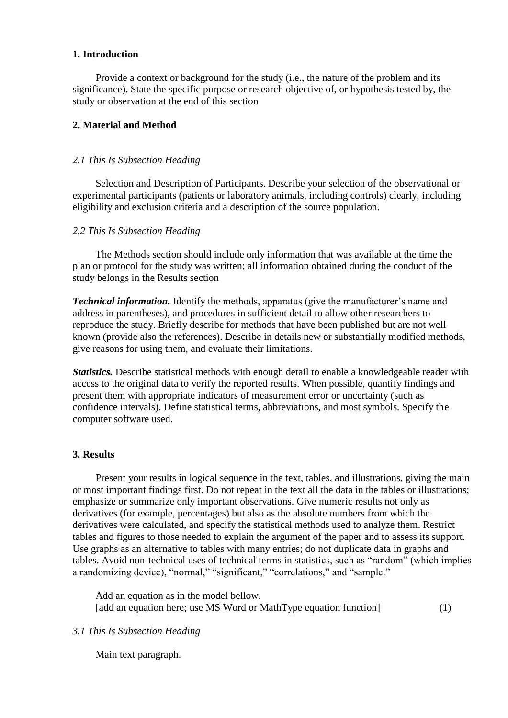## **1. Introduction**

Provide a context or background for the study (i.e., the nature of the problem and its significance). State the specific purpose or research objective of, or hypothesis tested by, the study or observation at the end of this section

## **2. Material and Method**

### *2.1 This Is Subsection Heading*

Selection and Description of Participants. Describe your selection of the observational or experimental participants (patients or laboratory animals, including controls) clearly, including eligibility and exclusion criteria and a description of the source population.

#### *2.2 This Is Subsection Heading*

The Methods section should include only information that was available at the time the plan or protocol for the study was written; all information obtained during the conduct of the study belongs in the Results section

*Technical information.* Identify the methods, apparatus (give the manufacturer's name and address in parentheses), and procedures in sufficient detail to allow other researchers to reproduce the study. Briefly describe for methods that have been published but are not well known (provide also the references). Describe in details new or substantially modified methods, give reasons for using them, and evaluate their limitations.

*Statistics.* Describe statistical methods with enough detail to enable a knowledgeable reader with access to the original data to verify the reported results. When possible, quantify findings and present them with appropriate indicators of measurement error or uncertainty (such as confidence intervals). Define statistical terms, abbreviations, and most symbols. Specify the computer software used.

## **3. Results**

Present your results in logical sequence in the text, tables, and illustrations, giving the main or most important findings first. Do not repeat in the text all the data in the tables or illustrations; emphasize or summarize only important observations. Give numeric results not only as derivatives (for example, percentages) but also as the absolute numbers from which the derivatives were calculated, and specify the statistical methods used to analyze them. Restrict tables and figures to those needed to explain the argument of the paper and to assess its support. Use graphs as an alternative to tables with many entries; do not duplicate data in graphs and tables. Avoid non-technical uses of technical terms in statistics, such as "random" (which implies a randomizing device), "normal," "significant," "correlations," and "sample."

Add an equation as in the model bellow. [add an equation here; use MS Word or MathType equation function] (1)

## *3.1 This Is Subsection Heading*

Main text paragraph.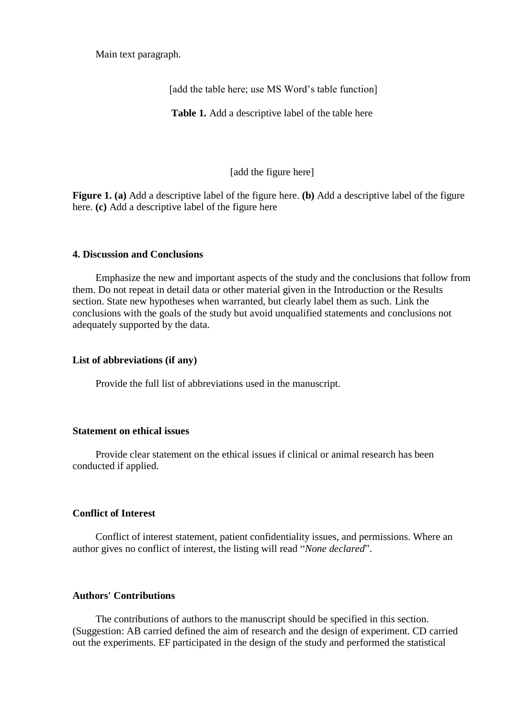Main text paragraph.

[add the table here; use MS Word's table function]

**Table 1.** Add a descriptive label of the table here

[add the figure here]

**Figure 1. (a)** Add a descriptive label of the figure here. **(b)** Add a descriptive label of the figure here. **(c)** Add a descriptive label of the figure here

#### **4. Discussion and Conclusions**

Emphasize the new and important aspects of the study and the conclusions that follow from them. Do not repeat in detail data or other material given in the Introduction or the Results section. State new hypotheses when warranted, but clearly label them as such. Link the conclusions with the goals of the study but avoid unqualified statements and conclusions not adequately supported by the data.

#### **List of abbreviations (if any)**

Provide the full list of abbreviations used in the manuscript.

#### **Statement on ethical issues**

Provide clear statement on the ethical issues if clinical or animal research has been conducted if applied.

## **Conflict of Interest**

Conflict of interest statement, patient confidentiality issues, and permissions. Where an author gives no conflict of interest, the listing will read "*None declared*".

## **Authors' Contributions**

The contributions of authors to the manuscript should be specified in this section. (Suggestion: AB carried defined the aim of research and the design of experiment. CD carried out the experiments. EF participated in the design of the study and performed the statistical